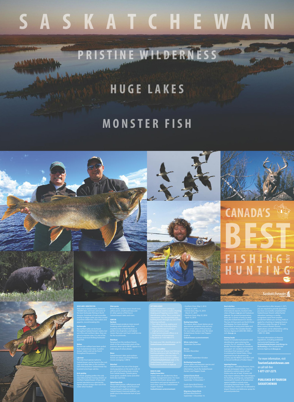# **S a S k a T c h e w a n**

# **P r iSTi n e w il d e r n eSS**

# **h u G e l a k eS**

# **BEST F i S h i n G a h u n T i n G n d**

# **m o n STe r FiS h**

**canada'S**

# **huGelakeS. monSTer FiSh.**

Welcome to Saskatchewan, home to 100,000 lakes and rivers and some of the best freshwater fishing in North America. Hundreds of road-accessible and fly-in lodges usher you into a world of pristine wilderness, clear waters and gigantic, record-breaking fish.

## **northern pike**

### **walleye**

#### **Other species** Brown trout, rainbow trout, brook trout, yellow perch, smallmouth bass and 61 other species of fish live in

Record-size walleye have been pulled from Saskatchewan lakes. It prefers deeper waters and can be found

#### throughout the province.

#### **lake trout**

ow to monster sizes. It is one of the fiercest and most thrilling freshwater sport fish. for the record books. **black bears**

The only trout species native to Saskatchewan can be found in the cool, clear and deep lakes in the northern half of the province. Saskatchewan has boasted some huge catches.

Big northern pike can be found throughout Saskatchewan's waters, but perfect mix of genetics and habitat

## **arctic grayling**

up in the cool northern lakes, they can means that your next hunt could be one Saskatchewan produces more recordbreaking white-tailed deer than anywhere else in North America. A

The Arctic grayling prefers the cold, clear lakes and fast-moving streams of northern Saskatchewan. It has a wellearned reputation as a spectacular fighter, known to leap clear out of the water when hooked.

Saskatchewan's lakes and rivers.

**Game on big bucks**

> Ranging from the northern forests down to the southeastern parts of the

province, bears up to 500 lb. appear in a wide range of colour phases.

### **moose**

Saskatchewan's lakes and northern forests are where you'll find Western moose averaging 1,300 lb.

**waterfowl**

Saskatchewan has one of the largest duck populations in the world, with 25 per cent of all nesting ducks coming from Saskatchewan. Canada geese, snow geese, sandhill cranes and other birds also nest here.

**upland Game birds** Sharp-tailed grouse, ruffed grouse and Hungarian partridge can be found on Saskatchewan's southern prairies. Saskatchewan's licenced outfitters can guide you to the exclusive hunt of your

# **how to Get here**

Saskatchewan is serviced by two international airports, located in the cities of Regina (**yqr.ca**) and Saskatoon (**yxe.ca**). For ground transportation, there are 12 points of entry located along the Saskatchewan/U.S. border. The two 24-hour ports are North Portal and Regway. For more detailed information on entry point dates and hours, contact the Canadian Border Services Agency at (204) 983-3500 or visit **cbsa.gc.ca**.

#### **entering canada**

Visitors to Canada must present valid identification upon entering the country. For U.S. residents, Canada Border Services Agency recommends a passport. U.S. residents are required to produce their passports when re-entering the United States. Other approved secure documents for re-entry are the NEXUS card, FAST card or Secure Certificate of Indian Status.

For more information, visit **TourismSaskatchewan.com**

**importing Firearms**

All weapons – including firearms, mace, tear gas and pepper spray – must be

declared to customs upon arrival. Visitors who are at least 18 years old may import ordinary rifles and shotguns for hunting, sporting use, competition, movement in transit, or for protection against wildlife in remote areas (excluding National Parks). Under Canadian law, visitors are not allowed to import firearms and defensive sprays for personal protection.

If you were born after January 1, 1971, you are required to provide proof that you have successfully completed the Saskatchewan firearm safety/hunter education training or a similar recognized course from another jurisdiction before you can buy, hold, or apply for a hunting or trapping licence. All hunters under the age of 18 must have a minor's firearm licence. Applications can be obtained by calling the Canadian Firearms Centre at 1-800-731-4000.

Saskatchewan |



### For more information on firearms regulations, including prohibited and restricted firearms, visit **TourismSaskatchewan.com/things-todo/hunting** or the Canada Border Services Agency at **cbsa.gc.ca**.

# **GeT your licence**

**when To come angling Season dates**

detailed information about zone

To create your HAL identification, go to: **Saskatchewan.ca/environment**. **White-tailed deer** September-December

each zone, check the *Saskatchewan*

Saskatchewan need to create a Hunti dentification online. This is a one-time

*Anglers' Guide* at

**Saskatchewan.ca/environment**.

**use a licensed outfitter** at **TourismSaskatchewan.com** or the Saskatchewan Commission of Professional Outfitters at **scpo.ca**. **Moose** October-December **Black bear** April-June/September-October **bird hunting Season dates**

# • Southern Zone: May 5, 2018

-March 31, 2019 • Central Zone: May 15, 2018 -March 31, 2019 • Northern Zone: May 25, 2018 -April 15, 2019

# **hunting Season dates**

The season dates shown below are an approximate guideline only and vary within certain areas of the province. For exact dates, please view the latest *Saskatchewan Hunters' and Trappers'*

Season dates are divided into three wildlife management zones. For more boundaries and special regulations in **Upland Game Birds** North Game Bird District: September 15-December 7 South Game Bird District: September 15-November 14

*Guide* at **Saskatchewan.ca/environment**.

> Season dates vary between species and areas of the province. For more information, check the *Saskatchewan Hunters' and Trappers' Guide*.

> > **Migratory Game Birds** All Game Bird Districts: September 1-December 16

# or call toll-free **1-877-237-2273**.

**PubliShed by TouriSm SaSkaTchewan**